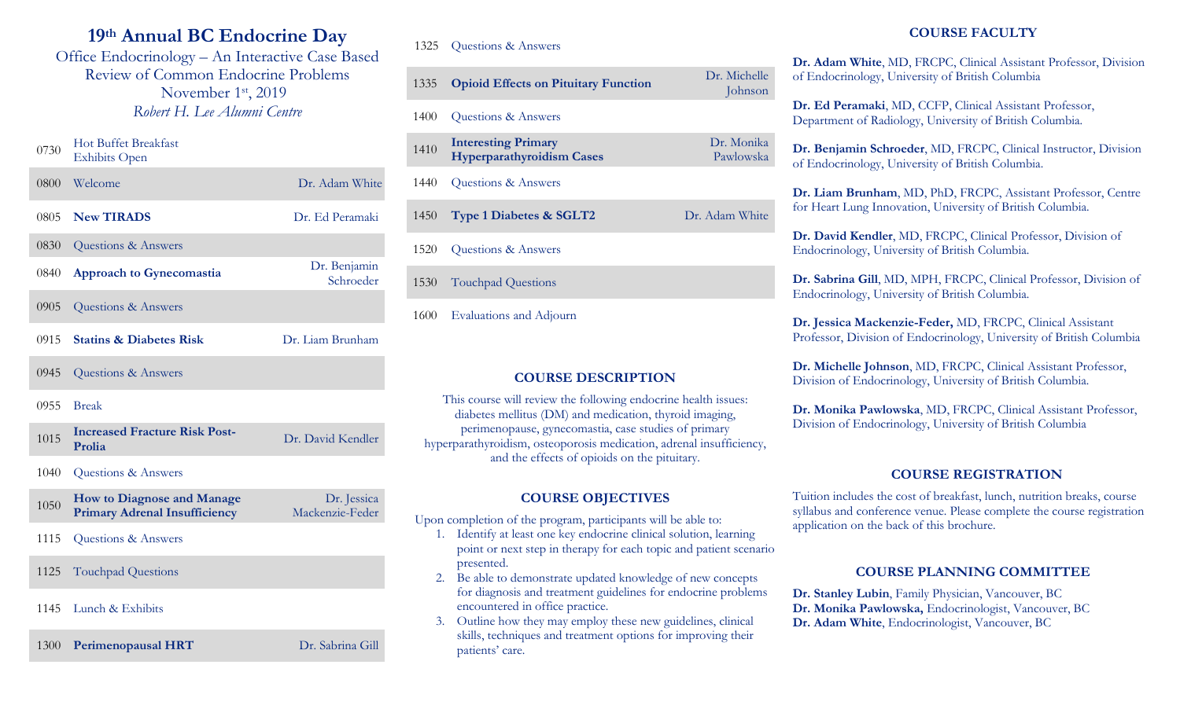# **19th Annual BC Endocrine Day**

Office Endocrinology – An Interactive Case Based Review of Common Endocrine Problems November 1<sup>st</sup>, 2019 *Robert H. Lee Alumni Centre*

# 0730 Hot Buffet Breakfast Exhibits Open 0800 Welcome Dr. Adam White 0805 **New TIRADS** Dr. Ed Peramaki 0830 Questions & Answers <sup>0840</sup> **Approach to Gynecomastia** Dr. Benjamin Schroeder 0905 Questions & Answers 0915 **Statins & Diabetes Risk** Dr. Liam Brunham 0945 Questions & Answers 0955 Break <sup>1015</sup> **Increased Fracture Risk Post-**Dr. David Kendler 1040 Questions & Answers <sup>1050</sup> **How to Diagnose and Manage Primary Adrenal Insufficiency** Dr. Jessica Mackenzie-Feder

- 1115 Questions & Answers
- 1125 Touchpad Questions
- 1145 Lunch & Exhibits

1300 **Perimenopausal HRT** Dr. Sabrina Gill

#### 1325 Questions & Answers

| 1335 | <b>Opioid Effects on Pituitary Function</b>                    | Dr. Michelle<br>Johnson |
|------|----------------------------------------------------------------|-------------------------|
| 1400 | Questions & Answers                                            |                         |
| 1410 | <b>Interesting Primary</b><br><b>Hyperparathyroidism Cases</b> | Dr. Monika<br>Pawlowska |
| 1440 | Questions & Answers                                            |                         |
| 1450 | Type 1 Diabetes & SGLT2                                        | Dr. Adam White          |
| 1520 | Questions & Answers                                            |                         |
| 1530 | <b>Touchpad Questions</b>                                      |                         |

1600 Evaluations and Adjourn

### **COURSE DESCRIPTION**

This course will review the following endocrine health issues: diabetes mellitus (DM) and medication, thyroid imaging, perimenopause, gynecomastia, case studies of primary hyperparathyroidism, osteoporosis medication, adrenal insufficiency, and the effects of opioids on the pituitary.

### **COURSE OBJECTIVES**

Upon completion of the program, participants will be able to:

- 1. Identify at least one key endocrine clinical solution, learning point or next step in therapy for each topic and patient scenario presented.
- 2. Be able to demonstrate updated knowledge of new concepts for diagnosis and treatment guidelines for endocrine problems encountered in office practice.
- 3. Outline how they may employ these new guidelines, clinical skills, techniques and treatment options for improving their patients' care.

# **COURSE FACULTY**

**Dr. Adam White**, MD, FRCPC, Clinical Assistant Professor, Division of Endocrinology, University of British Columbia

**Dr. Ed Peramaki**, MD, CCFP, Clinical Assistant Professor, Department of Radiology, University of British Columbia.

**Dr. Benjamin Schroeder**, MD, FRCPC, Clinical Instructor, Division of Endocrinology, University of British Columbia.

**Dr. Liam Brunham**, MD, PhD, FRCPC, Assistant Professor, Centre for Heart Lung Innovation, University of British Columbia.

**Dr. David Kendler**, MD, FRCPC, Clinical Professor, Division of Endocrinology, University of British Columbia.

**Dr. Sabrina Gill**, MD, MPH, FRCPC, Clinical Professor, Division of Endocrinology, University of British Columbia.

**Dr. Jessica Mackenzie-Feder,** MD, FRCPC, Clinical Assistant Professor, Division of Endocrinology, University of British Columbia

**Dr. Michelle Johnson**, MD, FRCPC, Clinical Assistant Professor, Division of Endocrinology, University of British Columbia.

**Dr. Monika Pawlowska**, MD, FRCPC, Clinical Assistant Professor, Division of Endocrinology, University of British Columbia

#### **COURSE REGISTRATION**

Tuition includes the cost of breakfast, lunch, nutrition breaks, course syllabus and conference venue. Please complete the course registration application on the back of this brochure.

#### **COURSE PLANNING COMMITTEE**

**Dr. Stanley Lubin**, Family Physician, Vancouver, BC **Dr. Monika Pawlowska,** Endocrinologist, Vancouver, BC **Dr. Adam White**, Endocrinologist, Vancouver, BC